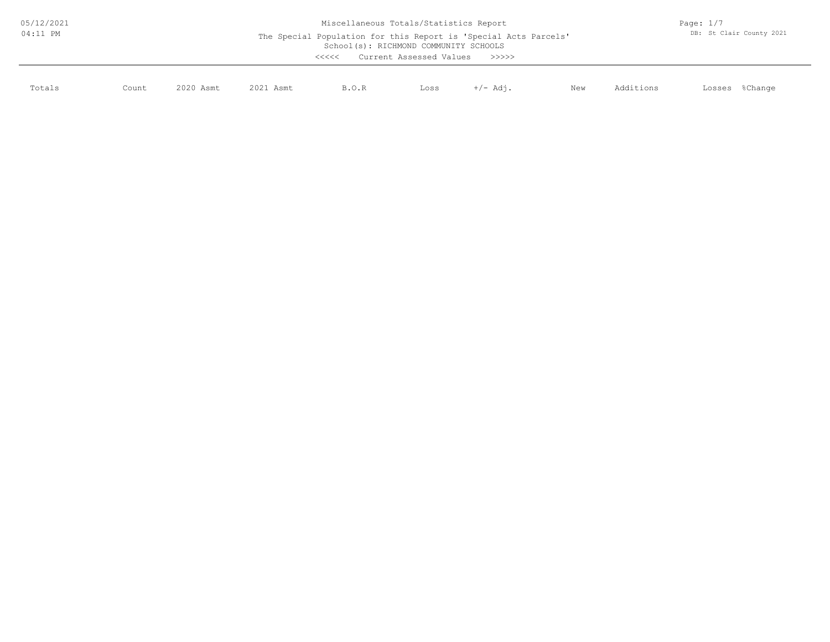| 05/12/2021<br>04:11 PM |       | Miscellaneous Totals/Statistics Report<br>The Special Population for this Report is 'Special Acts Parcels'<br>School(s): RICHMOND COMMUNITY SCHOOLS<br>Current Assessed Values<br>>>>>><br><<<< |           |       |      |          |     |           | Page: $1/7$<br>DB: St Clair County 2021 |
|------------------------|-------|-------------------------------------------------------------------------------------------------------------------------------------------------------------------------------------------------|-----------|-------|------|----------|-----|-----------|-----------------------------------------|
| Totals                 | Count | 2020 Asmt                                                                                                                                                                                       | 2021 Asmt | B.O.R | Loss | +/- Adi. | New | Additions | %Change<br>Losses                       |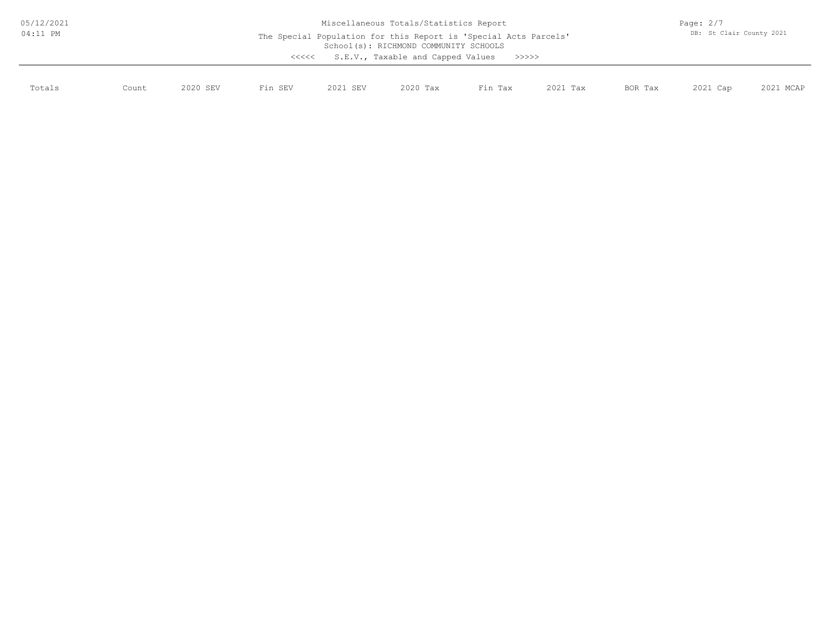| 05/12/2021<br>04:11 PM |       |          | Miscellaneous Totals/Statistics Report<br>The Special Population for this Report is 'Special Acts Parcels'<br>School (s): RICHMOND COMMUNITY SCHOOLS |          |                                   |         |          |         | Page: $2/7$<br>DB: St Clair County 2021 |           |  |
|------------------------|-------|----------|------------------------------------------------------------------------------------------------------------------------------------------------------|----------|-----------------------------------|---------|----------|---------|-----------------------------------------|-----------|--|
|                        |       |          | <<<<                                                                                                                                                 |          | S.E.V., Taxable and Capped Values | >>>>>>  |          |         |                                         |           |  |
| Totals                 | Count | 2020 SEV | Fin SEV                                                                                                                                              | 2021 SEV | 2020 Tax                          | Fin Tax | 2021 Tax | BOR Tax | 2021 Cap                                | 2021 MCAP |  |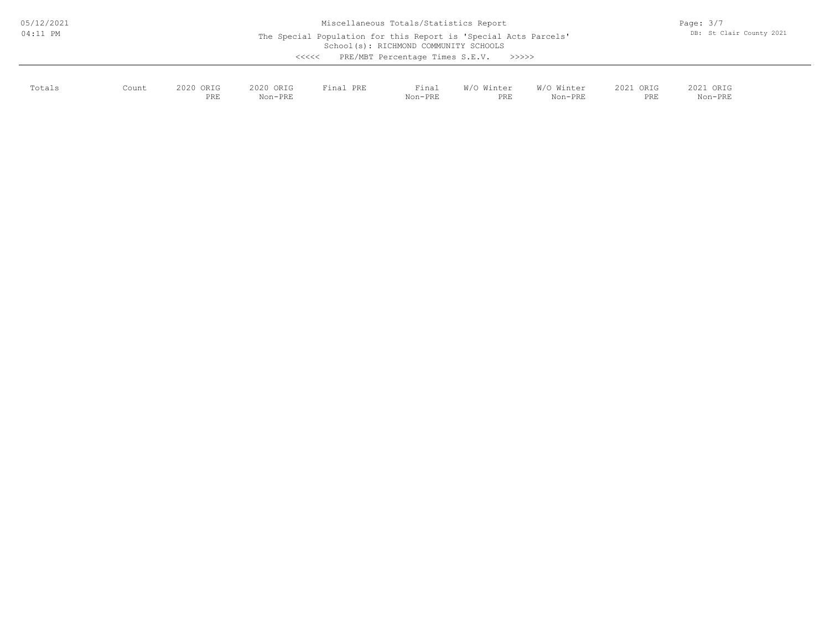| 05/12/2021 |  |
|------------|--|
| $04:11$ PM |  |

| Totals | Count | 2020 ORIG | 2020 ORIG | Final PRE | Final   | W/O Winter | W/O Winter | 2021 ORIG | 2021<br>ORIG |
|--------|-------|-----------|-----------|-----------|---------|------------|------------|-----------|--------------|
|        |       | PRE       | Non-PRE   |           | Non-PRE | PRE        | Non-PRE    | PRE       | Non-PRE      |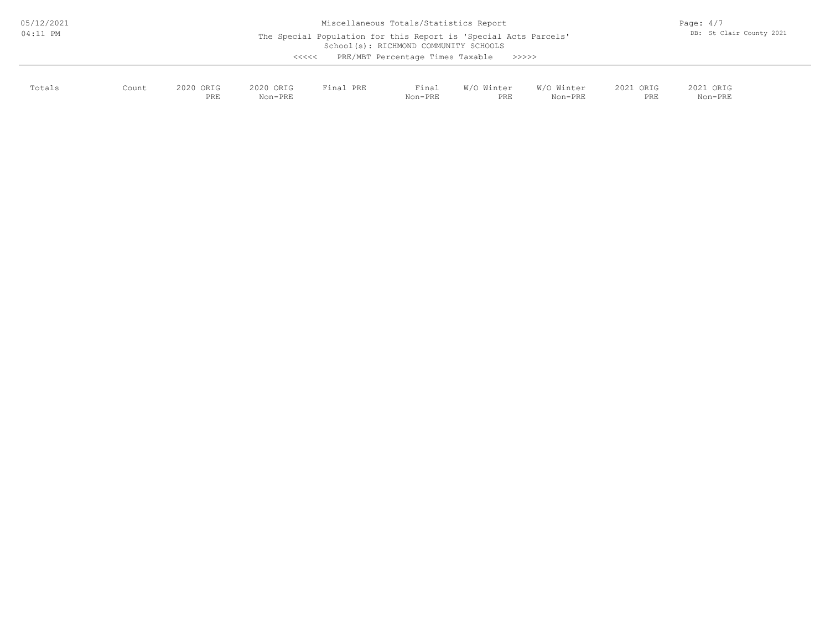| 05/12/2021<br>$04:11$ PM | Miscellaneous Totals/Statistics Report<br>The Special Population for this Report is 'Special Acts Parcels'<br>School(s): RICHMOND COMMUNITY SCHOOLS<br>PRE/MBT Percentage Times Taxable<br><<<<<br>>>>>> |                  |                      |           |                  |                   |                       |                  | Page: $4/7$<br>DB: St Clair County 2021 |  |
|--------------------------|----------------------------------------------------------------------------------------------------------------------------------------------------------------------------------------------------------|------------------|----------------------|-----------|------------------|-------------------|-----------------------|------------------|-----------------------------------------|--|
| Totals                   | Count                                                                                                                                                                                                    | 2020 ORIG<br>PRE | 2020 ORIG<br>Non-PRE | Final PRE | Final<br>Non-PRE | W/O Winter<br>PRE | W/O Winter<br>Non-PRE | 2021 ORIG<br>PRE | 2021 ORIG<br>Non-PRE                    |  |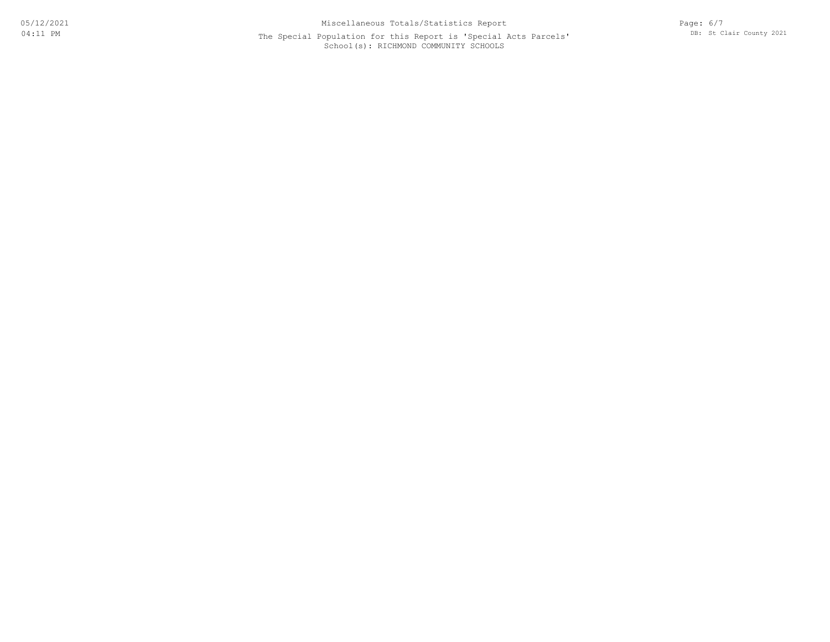## School(s): RICHMOND COMMUNITY SCHOOLS The Special Population for this Report is 'Special Acts Parcels'